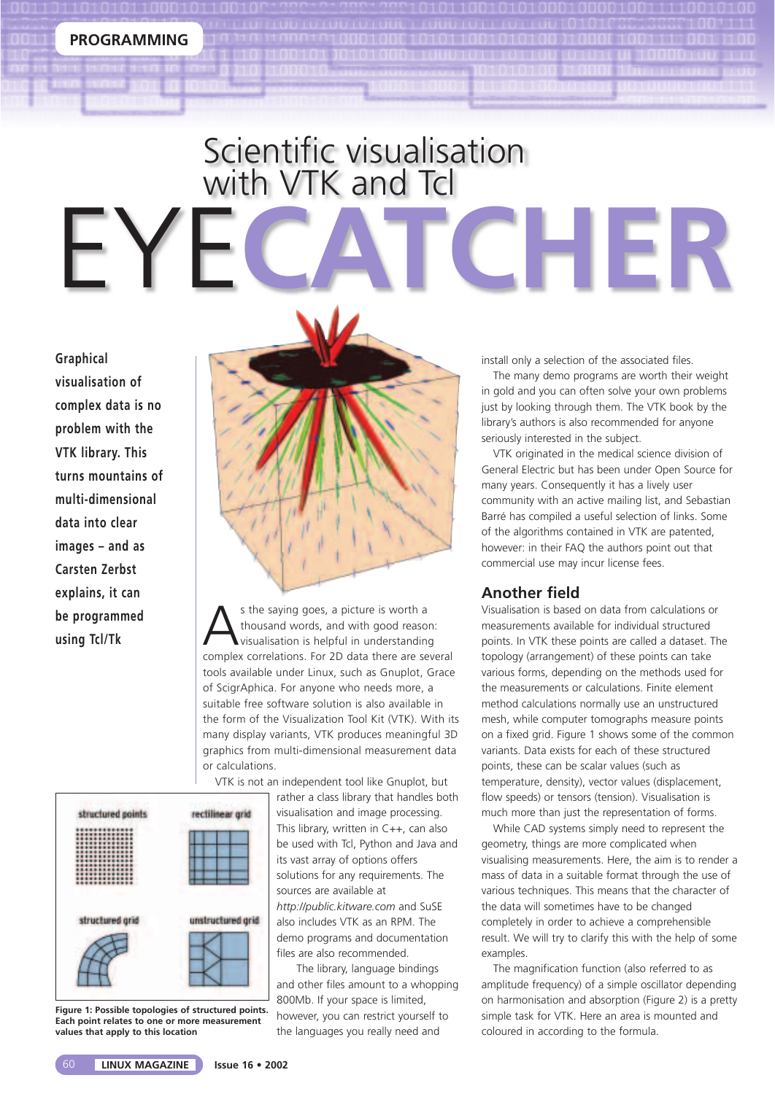## Scientific visualisation with VTK and Tcl EYE**CATCHER**

**Graphical visualisation of complex data is no problem with the VTK library. This turns mountains of multi-dimensional data into clear images – and as Carsten Zerbst explains, it can be programmed using Tcl/Tk**



s the saying goes, a picture is worth a thousand words, and with good reason: visualisation is helpful in understanding complex correlations. For 2D data there are several tools available under Linux, such as Gnuplot, Grace of ScigrAphica. For anyone who needs more, a suitable free software solution is also available in the form of the Visualization Tool Kit (VTK). With its many display variants, VTK produces meaningful 3D graphics from multi-dimensional measurement data or calculations.

VTK is not an independent tool like Gnuplot, but

structured points rectilinear grid structured grid unstructured grid

**Figure 1: Possible topologies of structured points. Each point relates to one or more measurement values that apply to this location**

rather a class library that handles both visualisation and image processing. This library, written in C++, can also be used with Tcl, Python and Java and its vast array of options offers solutions for any requirements. The sources are available at *http://public.kitware.com* and SuSE also includes VTK as an RPM. The demo programs and documentation files are also recommended.

The library, language bindings and other files amount to a whopping 800Mb. If your space is limited, however, you can restrict yourself to the languages you really need and

install only a selection of the associated files.

The many demo programs are worth their weight in gold and you can often solve your own problems just by looking through them. The VTK book by the library's authors is also recommended for anyone seriously interested in the subject.

VTK originated in the medical science division of General Electric but has been under Open Source for many years. Consequently it has a lively user community with an active mailing list, and Sebastian Barré has compiled a useful selection of links. Some of the algorithms contained in VTK are patented, however: in their FAQ the authors point out that commercial use may incur license fees.

#### **Another field**

Visualisation is based on data from calculations or measurements available for individual structured points. In VTK these points are called a dataset. The topology (arrangement) of these points can take various forms, depending on the methods used for the measurements or calculations. Finite element method calculations normally use an unstructured mesh, while computer tomographs measure points on a fixed grid. Figure 1 shows some of the common variants. Data exists for each of these structured points, these can be scalar values (such as temperature, density), vector values (displacement, flow speeds) or tensors (tension). Visualisation is much more than just the representation of forms.

While CAD systems simply need to represent the geometry, things are more complicated when visualising measurements. Here, the aim is to render a mass of data in a suitable format through the use of various techniques. This means that the character of the data will sometimes have to be changed completely in order to achieve a comprehensible result. We will try to clarify this with the help of some examples.

The magnification function (also referred to as amplitude frequency) of a simple oscillator depending on harmonisation and absorption (Figure 2) is a pretty simple task for VTK. Here an area is mounted and coloured in according to the formula.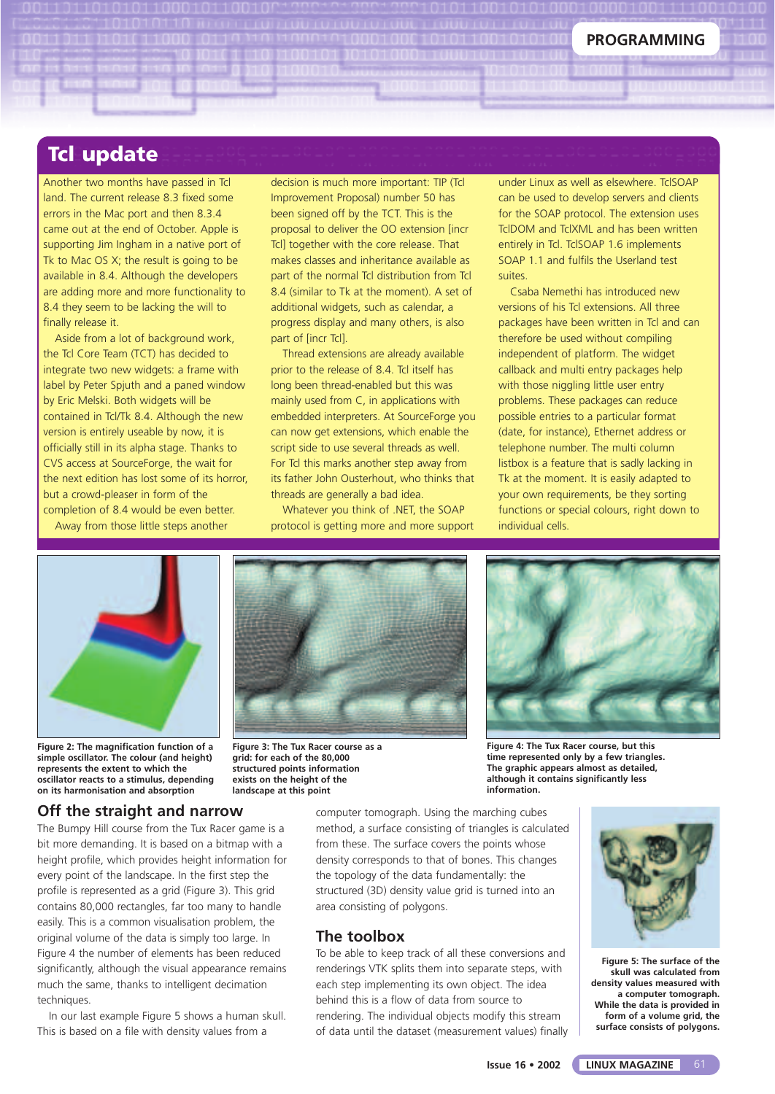#### **Tcl update**

Another two months have passed in Tcl land. The current release 8.3 fixed some errors in the Mac port and then 8.3.4 came out at the end of October. Apple is supporting Jim Ingham in a native port of Tk to Mac OS X; the result is going to be available in 8.4. Although the developers are adding more and more functionality to 8.4 they seem to be lacking the will to finally release it.

Aside from a lot of background work, the Tcl Core Team (TCT) has decided to integrate two new widgets: a frame with label by Peter Spjuth and a paned window by Eric Melski. Both widgets will be contained in Tcl/Tk 8.4. Although the new version is entirely useable by now, it is officially still in its alpha stage. Thanks to CVS access at SourceForge, the wait for the next edition has lost some of its horror, but a crowd-pleaser in form of the completion of 8.4 would be even better. Away from those little steps another

Improvement Proposal) number 50 has been signed off by the TCT. This is the proposal to deliver the OO extension [incr Tcl] together with the core release. That makes classes and inheritance available as part of the normal Tcl distribution from Tcl 8.4 (similar to Tk at the moment). A set of additional widgets, such as calendar, a progress display and many others, is also part of [incr Tcl]. Thread extensions are already available

decision is much more important: TIP (Tcl

prior to the release of 8.4. Tcl itself has long been thread-enabled but this was mainly used from C, in applications with embedded interpreters. At SourceForge you can now get extensions, which enable the script side to use several threads as well. For Tcl this marks another step away from its father John Ousterhout, who thinks that threads are generally a bad idea.

Whatever you think of .NET, the SOAP protocol is getting more and more support under Linux as well as elsewhere. TclSOAP can be used to develop servers and clients for the SOAP protocol. The extension uses TclDOM and TclXML and has been written entirely in Tcl. TclSOAP 1.6 implements SOAP 1.1 and fulfils the Userland test suites.

Csaba Nemethi has introduced new versions of his Tcl extensions. All three packages have been written in Tcl and can therefore be used without compiling independent of platform. The widget callback and multi entry packages help with those niggling little user entry problems. These packages can reduce possible entries to a particular format (date, for instance), Ethernet address or telephone number. The multi column listbox is a feature that is sadly lacking in Tk at the moment. It is easily adapted to your own requirements, be they sorting functions or special colours, right down to individual cells.



**Figure 2: The magnification function of a simple oscillator. The colour (and height) represents the extent to which the oscillator reacts to a stimulus, depending on its harmonisation and absorption**

**Figure 3: The Tux Racer course as a grid: for each of the 80,000 structured points information exists on the height of the landscape at this point**



**Figure 4: The Tux Racer course, but this time represented only by a few triangles. The graphic appears almost as detailed, although it contains significantly less information.**

computer tomograph. Using the marching cubes method, a surface consisting of triangles is calculated from these. The surface covers the points whose density corresponds to that of bones. This changes the topology of the data fundamentally: the structured (3D) density value grid is turned into an area consisting of polygons.

#### **The toolbox**

To be able to keep track of all these conversions and renderings VTK splits them into separate steps, with each step implementing its own object. The idea behind this is a flow of data from source to rendering. The individual objects modify this stream of data until the dataset (measurement values) finally



**Figure 5: The surface of the skull was calculated from density values measured with a computer tomograph. While the data is provided in form of a volume grid, the surface consists of polygons.**

**Off the straight and narrow**

The Bumpy Hill course from the Tux Racer game is a bit more demanding. It is based on a bitmap with a height profile, which provides height information for every point of the landscape. In the first step the profile is represented as a grid (Figure 3). This grid contains 80,000 rectangles, far too many to handle easily. This is a common visualisation problem, the original volume of the data is simply too large. In Figure 4 the number of elements has been reduced significantly, although the visual appearance remains much the same, thanks to intelligent decimation techniques.

In our last example Figure 5 shows a human skull. This is based on a file with density values from a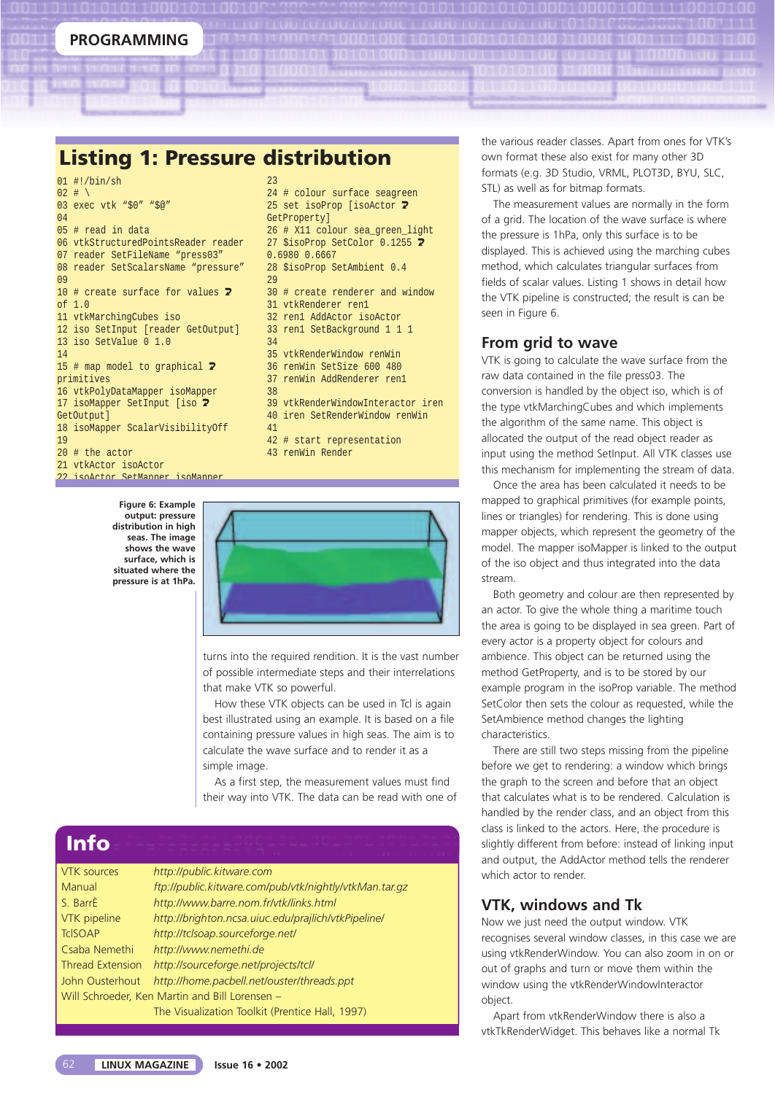**Listing 1: Pressure distribution**

| $01$ #!/bin/sh                                |
|-----------------------------------------------|
| $02$ # \                                      |
| 03 exec vtk "\$0" "\$@"                       |
| 04                                            |
| $05$ # read in data                           |
| 06 vtkStructuredPointsReader reader           |
| 07 reader SetFileName "press03"               |
| 08 reader SetScalarsName "pressure"           |
| 09                                            |
| 10 # create surface for values $\overline{2}$ |
| of $1.0$                                      |
| 11 vtkMarchingCubes iso                       |
| 12 iso SetInput [reader GetOutput]            |
| 13 iso SetValue 0 1.0                         |
| 14                                            |
| 15 # map model to graphical $\overline{z}$    |
| primitives                                    |
| 16 vtkPolyDataMapper isoMapper                |
| 17 isoMapper SetInput [iso 7                  |
| GetOutput]                                    |
| 18 isoMapper ScalarVisibilityOff              |
| 19                                            |
| $20$ # the actor                              |
| 21 vtkActor isoActor                          |
| <u>22 isoletor SetManner isoManner</u>        |

**Figure 6: Example output: pressure distribution in high seas. The image shows the wave surface, which is situated where the pressure is at 1hPa.**

| 23                                |  |
|-----------------------------------|--|
| 24 # colour surface seagreen      |  |
| 25 set isoProp [isoActor <b>2</b> |  |
| GetProperty]                      |  |
| 26 # X11 colour sea green light   |  |
| 27 \$isoProp SetColor 0.1255 2    |  |
| 0.6980 0.6667                     |  |
| 28 \$isoProp SetAmbient 0.4       |  |
| 2.9                               |  |
| 30 # create renderer and window   |  |
| 31 vtkRenderer ren1               |  |
| 32 ren1 AddActor isoActor         |  |
| 33 ren1 SetBackground 1 1 1       |  |
| 34                                |  |
| 35 vtkRenderWindow renWin         |  |
| 36 renWin SetSize 600 480         |  |
| 37 renWin AddRenderer ren1        |  |
| 38                                |  |
| 39 vtkRenderWindowInteractor iren |  |
| 40 iren SetRenderWindow renWin    |  |
| 41                                |  |
| 42 # start representation         |  |
| 43 renWin Render                  |  |
|                                   |  |



turns into the required rendition. It is the vast number of possible intermediate steps and their interrelations that make VTK so powerful.

How these VTK objects can be used in Tcl is again best illustrated using an example. It is based on a file containing pressure values in high seas. The aim is to calculate the wave surface and to render it as a simple image.

As a first step, the measurement values must find their way into VTK. The data can be read with one of

### **Info**

| <b>VTK</b> sources                             | http://public.kitware.com                              |  |  |
|------------------------------------------------|--------------------------------------------------------|--|--|
| Manual                                         | ftp://public.kitware.com/pub/vtk/nightly/vtkMan.tar.gz |  |  |
| S. BarrÈ                                       | http://www.barre.nom.fr/vtk/links.html                 |  |  |
| VTK pipeline                                   | http://brighton.ncsa.uiuc.edu/prajlich/vtkPipeline/    |  |  |
| <b>TcISOAP</b>                                 | http://tclsoap.sourceforge.net/                        |  |  |
| Csaba Nemethi                                  | http://www.nemethi.de                                  |  |  |
| <b>Thread Extension</b>                        | http://sourceforge.net/projects/tcl/                   |  |  |
| John Ousterhout                                | http://home.pacbell.net/ouster/threads.ppt             |  |  |
| Will Schroeder, Ken Martin and Bill Lorensen - |                                                        |  |  |
|                                                | The Visualization Toolkit (Prentice Hall, 1997).       |  |  |

the various reader classes. Apart from ones for VTK's own format these also exist for many other 3D formats (e.g. 3D Studio, VRML, PLOT3D, BYU, SLC, STL) as well as for bitmap formats.

The measurement values are normally in the form of a grid. The location of the wave surface is where the pressure is 1hPa, only this surface is to be displayed. This is achieved using the marching cubes method, which calculates triangular surfaces from fields of scalar values. Listing 1 shows in detail how the VTK pipeline is constructed; the result is can be seen in Figure 6.

#### **From grid to wave**

VTK is going to calculate the wave surface from the raw data contained in the file press03. The conversion is handled by the object iso, which is of the type vtkMarchingCubes and which implements the algorithm of the same name. This object is allocated the output of the read object reader as input using the method SetInput. All VTK classes use this mechanism for implementing the stream of data.

Once the area has been calculated it needs to be mapped to graphical primitives (for example points, lines or triangles) for rendering. This is done using mapper objects, which represent the geometry of the model. The mapper isoMapper is linked to the output of the iso object and thus integrated into the data stream.

Both geometry and colour are then represented by an actor. To give the whole thing a maritime touch the area is going to be displayed in sea green. Part of every actor is a property object for colours and ambience. This object can be returned using the method GetProperty, and is to be stored by our example program in the isoProp variable. The method SetColor then sets the colour as requested, while the SetAmbience method changes the lighting characteristics.

There are still two steps missing from the pipeline before we get to rendering: a window which brings the graph to the screen and before that an object that calculates what is to be rendered. Calculation is handled by the render class, and an object from this class is linked to the actors. Here, the procedure is slightly different from before: instead of linking input and output, the AddActor method tells the renderer which actor to render.

#### **VTK, windows and Tk**

Now we just need the output window. VTK recognises several window classes, in this case we are using vtkRenderWindow. You can also zoom in on or out of graphs and turn or move them within the window using the vtkRenderWindowInteractor object.

Apart from vtkRenderWindow there is also a vtkTkRenderWidget. This behaves like a normal Tk

#### 62 **LINUX MAGAZINE Issue 16 • 2002**